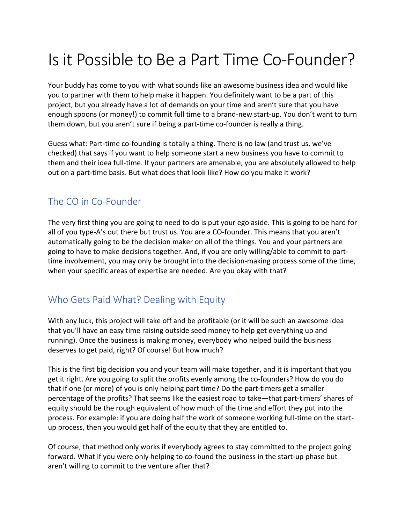# Is it Possible to Be a Part Time Co-Founder?

Your buddy has come to you with what sounds like an awesome business idea and would like you to partner with them to help make it happen. You definitely want to be a part of this project, but you already have a lot of demands on your time and aren't sure that you have enough spoons (or money!) to commit full time to a brand-new start-up. You don't want to turn them down, but you aren't sure if being a part-time co-founder is really a thing.

Guess what: Part-time co-founding is totally a thing. There is no law (and trust us, we've checked) that says if you want to help someone start a new business you have to commit to them and their idea full-time. If your partners are amenable, you are absolutely allowed to help out on a part-time basis. But what does that look like? How do you make it work?

# The CO in Co-Founder

The very first thing you are going to need to do is put your ego aside. This is going to be hard for all of you type-A's out there but trust us. You are a CO-founder. This means that you aren't automatically going to be the decision maker on all of the things. You and your partners are going to have to make decisions together. And, if you are only willing/able to commit to parttime involvement, you may only be brought into the decision-making process some of the time, when your specific areas of expertise are needed. Are you okay with that?

# Who Gets Paid What? Dealing with Equity

With any luck, this project will take off and be profitable (or it will be such an awesome idea that you'll have an easy time raising outside seed money to help get everything up and running). Once the business is making money, everybody who helped build the business deserves to get paid, right? Of course! But how much?

This is the first big decision you and your team will make together, and it is important that you get it right. Are you going to split the profits evenly among the co-founders? How do you do that if one (or more) of you is only helping part time? Do the part-timers get a smaller percentage of the profits? That seems like the easiest road to take—that part-timers' shares of equity should be the rough equivalent of how much of the time and effort they put into the process. For example: if you are doing half the work of someone working full-time on the startup process, then you would get half of the equity that they are entitled to.

Of course, that method only works if everybody agrees to stay committed to the project going forward. What if you were only helping to co-found the business in the start-up phase but aren't willing to commit to the venture after that?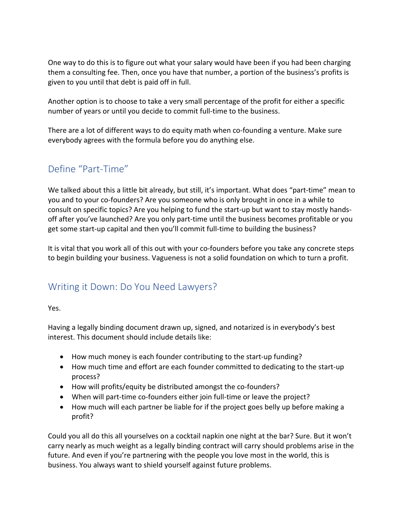One way to do this is to figure out what your salary would have been if you had been charging them a consulting fee. Then, once you have that number, a portion of the business's profits is given to you until that debt is paid off in full.

Another option is to choose to take a very small percentage of the profit for either a specific number of years or until you decide to commit full-time to the business.

There are a lot of different ways to do equity math when co-founding a venture. Make sure everybody agrees with the formula before you do anything else.

# Define "Part-Time"

We talked about this a little bit already, but still, it's important. What does "part-time" mean to you and to your co-founders? Are you someone who is only brought in once in a while to consult on specific topics? Are you helping to fund the start-up but want to stay mostly handsoff after you've launched? Are you only part-time until the business becomes profitable or you get some start-up capital and then you'll commit full-time to building the business?

It is vital that you work all of this out with your co-founders before you take any concrete steps to begin building your business. Vagueness is not a solid foundation on which to turn a profit.

# Writing it Down: Do You Need Lawyers?

Yes.

Having a legally binding document drawn up, signed, and notarized is in everybody's best interest. This document should include details like:

- How much money is each founder contributing to the start-up funding?
- How much time and effort are each founder committed to dedicating to the start-up process?
- How will profits/equity be distributed amongst the co-founders?
- When will part-time co-founders either join full-time or leave the project?
- How much will each partner be liable for if the project goes belly up before making a profit?

Could you all do this all yourselves on a cocktail napkin one night at the bar? Sure. But it won't carry nearly as much weight as a legally binding contract will carry should problems arise in the future. And even if you're partnering with the people you love most in the world, this is business. You always want to shield yourself against future problems.